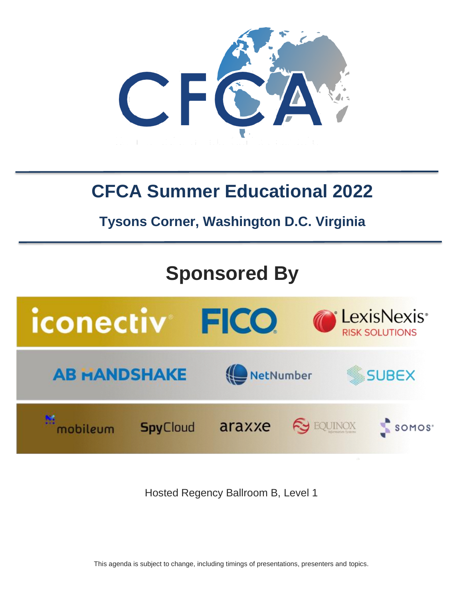

### **CFCA Summer Educational 2022**

### **Tysons Corner, Washington D.C. Virginia**

## **Sponsored By**



Hosted Regency Ballroom B, Level 1

This agenda is subject to change, including timings of presentations, presenters and topics.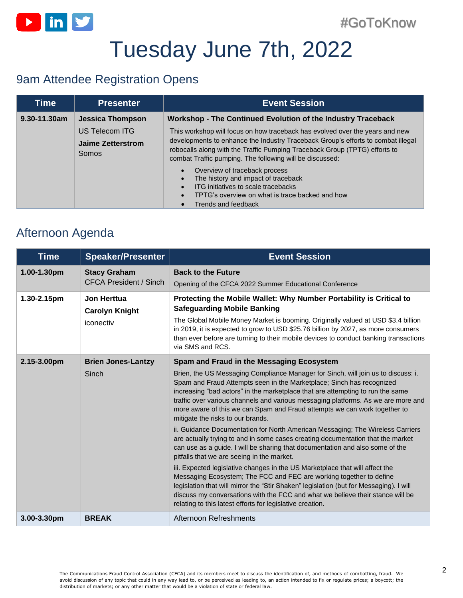

## Tuesday June 7th, 2022

#### 9am Attendee Registration Opens

| Time         | <b>Presenter</b>           | <b>Event Session</b>                                                                                                                                                                                                         |
|--------------|----------------------------|------------------------------------------------------------------------------------------------------------------------------------------------------------------------------------------------------------------------------|
| 9.30-11.30am | <b>Jessica Thompson</b>    | Workshop - The Continued Evolution of the Industry Traceback                                                                                                                                                                 |
|              | <b>US Telecom ITG</b>      | This workshop will focus on how traceback has evolved over the years and new                                                                                                                                                 |
|              | Jaime Zetterstrom<br>Somos | developments to enhance the Industry Traceback Group's efforts to combat illegal<br>robocalls along with the Traffic Pumping Traceback Group (TPTG) efforts to<br>combat Traffic pumping. The following will be discussed:   |
|              |                            | Overview of traceback process<br>The history and impact of traceback<br>$\bullet$<br>ITG initiatives to scale tracebacks<br>$\bullet$<br>TPTG's overview on what is trace backed and how<br>$\bullet$<br>Trends and feedback |

#### Afternoon Agenda

| <b>Time</b> | <b>Speaker/Presenter</b>                                 | <b>Event Session</b>                                                                                                                                                                                                                                                                                                                                                                                                                                                                                                                                                                                                                                                                                                                                                                                                                                                                                                                                                                                                                                                                                                                                                                                 |
|-------------|----------------------------------------------------------|------------------------------------------------------------------------------------------------------------------------------------------------------------------------------------------------------------------------------------------------------------------------------------------------------------------------------------------------------------------------------------------------------------------------------------------------------------------------------------------------------------------------------------------------------------------------------------------------------------------------------------------------------------------------------------------------------------------------------------------------------------------------------------------------------------------------------------------------------------------------------------------------------------------------------------------------------------------------------------------------------------------------------------------------------------------------------------------------------------------------------------------------------------------------------------------------------|
| 1.00-1.30pm | <b>Stacy Graham</b><br><b>CFCA President / Sinch</b>     | <b>Back to the Future</b><br>Opening of the CFCA 2022 Summer Educational Conference                                                                                                                                                                                                                                                                                                                                                                                                                                                                                                                                                                                                                                                                                                                                                                                                                                                                                                                                                                                                                                                                                                                  |
| 1.30-2.15pm | <b>Jon Herttua</b><br><b>Carolyn Knight</b><br>iconectiv | Protecting the Mobile Wallet: Why Number Portability is Critical to<br><b>Safeguarding Mobile Banking</b><br>The Global Mobile Money Market is booming. Originally valued at USD \$3.4 billion<br>in 2019, it is expected to grow to USD \$25.76 billion by 2027, as more consumers<br>than ever before are turning to their mobile devices to conduct banking transactions<br>via SMS and RCS.                                                                                                                                                                                                                                                                                                                                                                                                                                                                                                                                                                                                                                                                                                                                                                                                      |
| 2.15-3.00pm | <b>Brien Jones-Lantzy</b><br>Sinch                       | Spam and Fraud in the Messaging Ecosystem<br>Brien, the US Messaging Compliance Manager for Sinch, will join us to discuss: i.<br>Spam and Fraud Attempts seen in the Marketplace; Sinch has recognized<br>increasing "bad actors" in the marketplace that are attempting to run the same<br>traffic over various channels and various messaging platforms. As we are more and<br>more aware of this we can Spam and Fraud attempts we can work together to<br>mitigate the risks to our brands.<br>ii. Guidance Documentation for North American Messaging; The Wireless Carriers<br>are actually trying to and in some cases creating documentation that the market<br>can use as a guide. I will be sharing that documentation and also some of the<br>pitfalls that we are seeing in the market.<br>iii. Expected legislative changes in the US Marketplace that will affect the<br>Messaging Ecosystem; The FCC and FEC are working together to define<br>legislation that will mirror the "Stir Shaken" legislation (but for Messaging). I will<br>discuss my conversations with the FCC and what we believe their stance will be<br>relating to this latest efforts for legislative creation. |
| 3.00-3.30pm | <b>BREAK</b>                                             | Afternoon Refreshments                                                                                                                                                                                                                                                                                                                                                                                                                                                                                                                                                                                                                                                                                                                                                                                                                                                                                                                                                                                                                                                                                                                                                                               |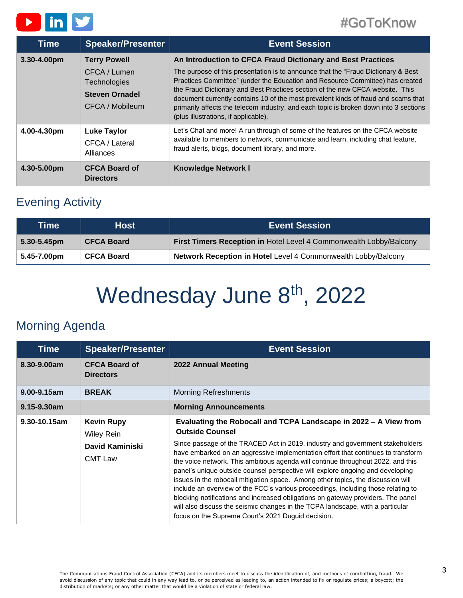

#### #GoToKnow

| <b>Time</b>      | <b>Speaker/Presenter</b>                                                                               | <b>Event Session</b>                                                                                                                                                                                                                                                                                                                                                                                     |
|------------------|--------------------------------------------------------------------------------------------------------|----------------------------------------------------------------------------------------------------------------------------------------------------------------------------------------------------------------------------------------------------------------------------------------------------------------------------------------------------------------------------------------------------------|
| $3.30 - 4.00$ pm | <b>Terry Powell</b><br>CFCA / Lumen<br><b>Technologies</b><br><b>Steven Ornadel</b><br>CFCA / Mobileum | An Introduction to CFCA Fraud Dictionary and Best Practices<br>The purpose of this presentation is to announce that the "Fraud Dictionary & Best<br>Practices Committee" (under the Education and Resource Committee) has created<br>the Fraud Dictionary and Best Practices section of the new CFCA website. This<br>document currently contains 10 of the most prevalent kinds of fraud and scams that |
|                  |                                                                                                        | primarily affects the telecom industry, and each topic is broken down into 3 sections<br>(plus illustrations, if applicable).                                                                                                                                                                                                                                                                            |
| 4.00-4.30pm      | <b>Luke Taylor</b><br>CFCA / Lateral<br>Alliances                                                      | Let's Chat and more! A run through of some of the features on the CFCA website<br>available to members to network, communicate and learn, including chat feature,<br>fraud alerts, blogs, document library, and more.                                                                                                                                                                                    |
| 4.30-5.00pm      | <b>CFCA Board of</b><br><b>Directors</b>                                                               | <b>Knowledge Network I</b>                                                                                                                                                                                                                                                                                                                                                                               |

#### Evening Activity

| Time        | <b>Host</b>       | <b>Event Session</b>                                               |
|-------------|-------------------|--------------------------------------------------------------------|
| 5.30-5.45pm | <b>CFCA Board</b> | First Timers Reception in Hotel Level 4 Commonwealth Lobby/Balcony |
| 5.45-7.00pm | <b>CFCA Board</b> | Network Reception in Hotel Level 4 Commonwealth Lobby/Balcony      |

# Wednesday June 8<sup>th</sup>, 2022

#### Morning Agenda

| <b>Time</b>       | <b>Speaker/Presenter</b>                                                    | <b>Event Session</b>                                                                                                                                                                                                                                                                                                                                                                                                                                                                                                                                                                                                                                                                                                                                                                                                                       |
|-------------------|-----------------------------------------------------------------------------|--------------------------------------------------------------------------------------------------------------------------------------------------------------------------------------------------------------------------------------------------------------------------------------------------------------------------------------------------------------------------------------------------------------------------------------------------------------------------------------------------------------------------------------------------------------------------------------------------------------------------------------------------------------------------------------------------------------------------------------------------------------------------------------------------------------------------------------------|
| 8.30-9.00am       | <b>CFCA Board of</b><br><b>Directors</b>                                    | 2022 Annual Meeting                                                                                                                                                                                                                                                                                                                                                                                                                                                                                                                                                                                                                                                                                                                                                                                                                        |
| 9.00-9.15am       | <b>BREAK</b>                                                                | <b>Morning Refreshments</b>                                                                                                                                                                                                                                                                                                                                                                                                                                                                                                                                                                                                                                                                                                                                                                                                                |
| $9.15 - 9.30$ am  |                                                                             | <b>Morning Announcements</b>                                                                                                                                                                                                                                                                                                                                                                                                                                                                                                                                                                                                                                                                                                                                                                                                               |
| $9.30 - 10.15$ am | <b>Kevin Rupy</b><br><b>Wiley Rein</b><br>David Kaminiski<br><b>CMT Law</b> | Evaluating the Robocall and TCPA Landscape in 2022 - A View from<br><b>Outside Counsel</b><br>Since passage of the TRACED Act in 2019, industry and government stakeholders<br>have embarked on an aggressive implementation effort that continues to transform<br>the voice network. This ambitious agenda will continue throughout 2022, and this<br>panel's unique outside counsel perspective will explore ongoing and developing<br>issues in the robocall mitigation space. Among other topics, the discussion will<br>include an overview of the FCC's various proceedings, including those relating to<br>blocking notifications and increased obligations on gateway providers. The panel<br>will also discuss the seismic changes in the TCPA landscape, with a particular<br>focus on the Supreme Court's 2021 Duquid decision. |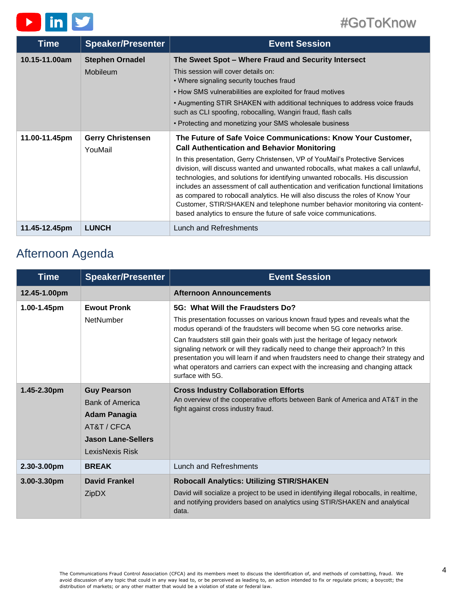



| <b>Time</b>   | <b>Speaker/Presenter</b>            | <b>Event Session</b>                                                                                                                                                                                                                                                                                                                                                                                                                                                                                                                                                                                                                                                                                      |
|---------------|-------------------------------------|-----------------------------------------------------------------------------------------------------------------------------------------------------------------------------------------------------------------------------------------------------------------------------------------------------------------------------------------------------------------------------------------------------------------------------------------------------------------------------------------------------------------------------------------------------------------------------------------------------------------------------------------------------------------------------------------------------------|
| 10.15-11.00am | <b>Stephen Ornadel</b><br>Mobileum  | The Sweet Spot – Where Fraud and Security Intersect<br>This session will cover details on:<br>• Where signaling security touches fraud<br>• How SMS vulnerabilities are exploited for fraud motives                                                                                                                                                                                                                                                                                                                                                                                                                                                                                                       |
|               |                                     | • Augmenting STIR SHAKEN with additional techniques to address voice frauds<br>such as CLI spoofing, robocalling, Wangiri fraud, flash calls<br>• Protecting and monetizing your SMS wholesale business                                                                                                                                                                                                                                                                                                                                                                                                                                                                                                   |
| 11.00-11.45pm | <b>Gerry Christensen</b><br>YouMail | The Future of Safe Voice Communications: Know Your Customer,<br><b>Call Authentication and Behavior Monitoring</b><br>In this presentation, Gerry Christensen, VP of YouMail's Protective Services<br>division, will discuss wanted and unwanted robocalls, what makes a call unlawful,<br>technologies, and solutions for identifying unwanted robocalls. His discussion<br>includes an assessment of call authentication and verification functional limitations<br>as compared to robocall analytics. He will also discuss the roles of Know Your<br>Customer, STIR/SHAKEN and telephone number behavior monitoring via content-<br>based analytics to ensure the future of safe voice communications. |
| 11.45-12.45pm | <b>LUNCH</b>                        | Lunch and Refreshments                                                                                                                                                                                                                                                                                                                                                                                                                                                                                                                                                                                                                                                                                    |

#### Afternoon Agenda

| <b>Time</b>  | <b>Speaker/Presenter</b>                                                                                                           | <b>Event Session</b>                                                                                                                                                                                                                                                                                                                                            |
|--------------|------------------------------------------------------------------------------------------------------------------------------------|-----------------------------------------------------------------------------------------------------------------------------------------------------------------------------------------------------------------------------------------------------------------------------------------------------------------------------------------------------------------|
| 12.45-1.00pm |                                                                                                                                    | <b>Afternoon Announcements</b>                                                                                                                                                                                                                                                                                                                                  |
| 1.00-1.45pm  | <b>Ewout Pronk</b>                                                                                                                 | 5G: What Will the Fraudsters Do?                                                                                                                                                                                                                                                                                                                                |
|              | NetNumber                                                                                                                          | This presentation focusses on various known fraud types and reveals what the<br>modus operandi of the fraudsters will become when 5G core networks arise.                                                                                                                                                                                                       |
|              |                                                                                                                                    | Can fraudsters still gain their goals with just the heritage of legacy network<br>signaling network or will they radically need to change their approach? In this<br>presentation you will learn if and when fraudsters need to change their strategy and<br>what operators and carriers can expect with the increasing and changing attack<br>surface with 5G. |
| 1.45-2.30pm  | <b>Guy Pearson</b><br><b>Bank of America</b><br><b>Adam Panagia</b><br>AT&T / CFCA<br><b>Jason Lane-Sellers</b><br>LexisNexis Risk | <b>Cross Industry Collaboration Efforts</b><br>An overview of the cooperative efforts between Bank of America and AT&T in the<br>fight against cross industry fraud.                                                                                                                                                                                            |
| 2.30-3.00pm  | <b>BREAK</b>                                                                                                                       | Lunch and Refreshments                                                                                                                                                                                                                                                                                                                                          |
| 3.00-3.30pm  | <b>David Frankel</b><br><b>ZipDX</b>                                                                                               | <b>Robocall Analytics: Utilizing STIR/SHAKEN</b><br>David will socialize a project to be used in identifying illegal robocalls, in realtime,<br>and notifying providers based on analytics using STIR/SHAKEN and analytical<br>data.                                                                                                                            |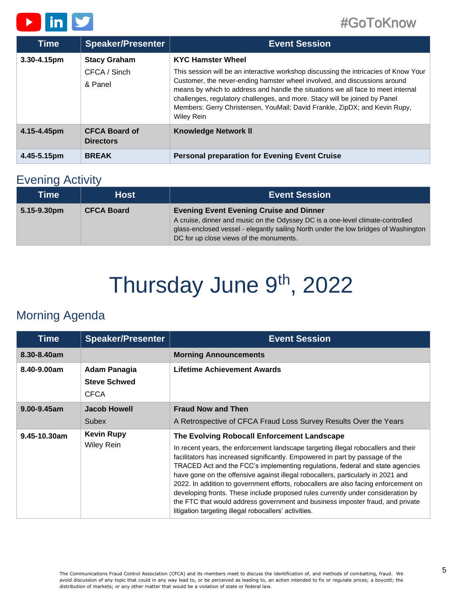

#### #GoToKnow

| <b>Time</b>      | <b>Speaker/Presenter</b>                 | <b>Event Session</b>                                                                                                                                                                                                                                                                                                                    |
|------------------|------------------------------------------|-----------------------------------------------------------------------------------------------------------------------------------------------------------------------------------------------------------------------------------------------------------------------------------------------------------------------------------------|
| $3.30 - 4.15$ pm | <b>Stacy Graham</b>                      | <b>KYC Hamster Wheel</b>                                                                                                                                                                                                                                                                                                                |
|                  | CFCA / Sinch                             | This session will be an interactive workshop discussing the intricacies of Know Your                                                                                                                                                                                                                                                    |
|                  | & Panel                                  | Customer, the never-ending hamster wheel involved, and discussions around<br>means by which to address and handle the situations we all face to meet internal<br>challenges, regulatory challenges, and more. Stacy will be joined by Panel<br>Members: Gerry Christensen, YouMail; David Frankle, ZipDX; and Kevin Rupy,<br>Wiley Rein |
| 4.15-4.45pm      | <b>CFCA Board of</b><br><b>Directors</b> | <b>Knowledge Network II</b>                                                                                                                                                                                                                                                                                                             |
| 4.45-5.15pm      | <b>BREAK</b>                             | <b>Personal preparation for Evening Event Cruise</b>                                                                                                                                                                                                                                                                                    |

#### Evening Activity

| Time             | <b>Host</b>       | <b>Event Session</b>                                                                                                                                                                                                                                               |
|------------------|-------------------|--------------------------------------------------------------------------------------------------------------------------------------------------------------------------------------------------------------------------------------------------------------------|
| $5.15 - 9.30$ pm | <b>CFCA Board</b> | <b>Evening Event Evening Cruise and Dinner</b><br>A cruise, dinner and music on the Odyssey DC is a one-level climate-controlled<br>glass-enclosed vessel - elegantly sailing North under the low bridges of Washington<br>DC for up close views of the monuments. |

# Thursday June 9<sup>th</sup>, 2022

#### Morning Agenda

| Time         | <b>Speaker/Presenter</b>                                  | <b>Event Session</b>                                                                                                                                                                                                                                                                                                                                                                                                                                                                                                                                                                                                                                                                                          |
|--------------|-----------------------------------------------------------|---------------------------------------------------------------------------------------------------------------------------------------------------------------------------------------------------------------------------------------------------------------------------------------------------------------------------------------------------------------------------------------------------------------------------------------------------------------------------------------------------------------------------------------------------------------------------------------------------------------------------------------------------------------------------------------------------------------|
| 8.30-8.40am  |                                                           | <b>Morning Announcements</b>                                                                                                                                                                                                                                                                                                                                                                                                                                                                                                                                                                                                                                                                                  |
| 8.40-9.00am  | <b>Adam Panagia</b><br><b>Steve Schwed</b><br><b>CFCA</b> | Lifetime Achievement Awards                                                                                                                                                                                                                                                                                                                                                                                                                                                                                                                                                                                                                                                                                   |
| 9.00-9.45am  | <b>Jacob Howell</b><br>Subex                              | <b>Fraud Now and Then</b><br>A Retrospective of CFCA Fraud Loss Survey Results Over the Years                                                                                                                                                                                                                                                                                                                                                                                                                                                                                                                                                                                                                 |
| 9.45-10.30am | <b>Kevin Rupy</b><br><b>Wiley Rein</b>                    | The Evolving Robocall Enforcement Landscape<br>In recent years, the enforcement landscape targeting illegal robocallers and their<br>facilitators has increased significantly. Empowered in part by passage of the<br>TRACED Act and the FCC's implementing regulations, federal and state agencies<br>have gone on the offensive against illegal robocallers, particularly in 2021 and<br>2022. In addition to government efforts, robocallers are also facing enforcement on<br>developing fronts. These include proposed rules currently under consideration by<br>the FTC that would address government and business imposter fraud, and private<br>litigation targeting illegal robocallers' activities. |